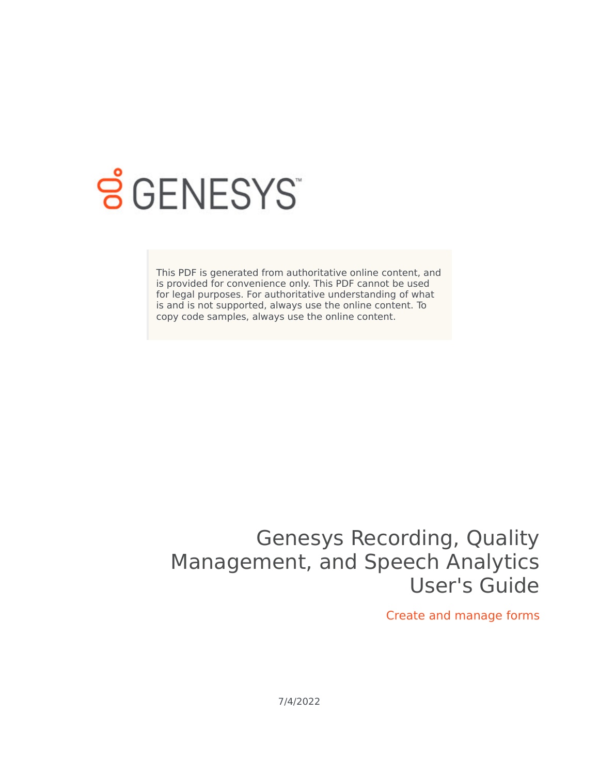

# **SGENESYS**

This PDF is generated from authoritative online content, and is provided for convenience only. This PDF cannot be used for legal purposes. For authoritative understanding of what is and is not supported, always use the online content. To copy code samples, always use the online content.

## Genesys Recording, Quality Management, and Speech Analytics User's Guide

Create and manage forms

7/4/2022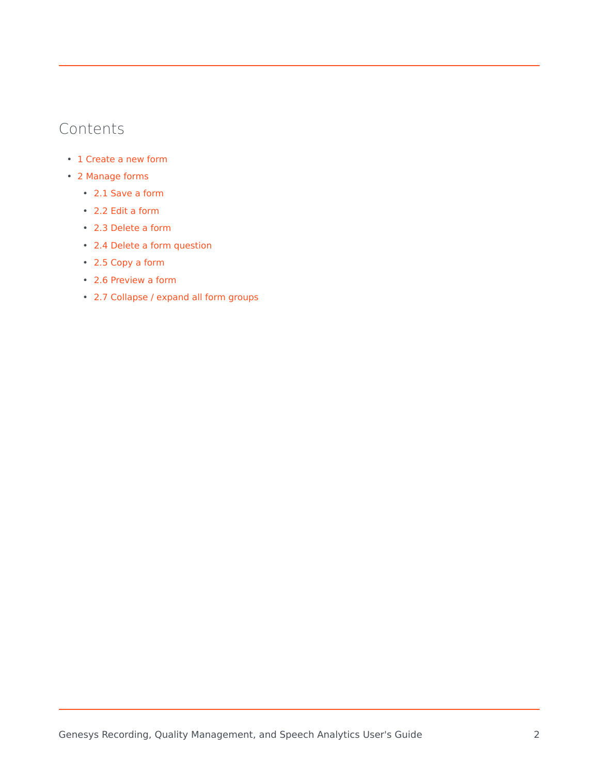## Contents

- 1 [Create a new form](#page-2-0)
- 2 [Manage forms](#page-4-0)
	- 2.1 [Save a form](#page-4-1)
	- 2.2 [Edit a form](#page-4-2)
	- 2.3 [Delete a form](#page-5-0)
	- 2.4 [Delete a form question](#page-5-1)
	- 2.5 [Copy a form](#page-5-2)
	- 2.6 [Preview a form](#page-5-3)
	- 2.7 [Collapse / expand all form groups](#page-6-0)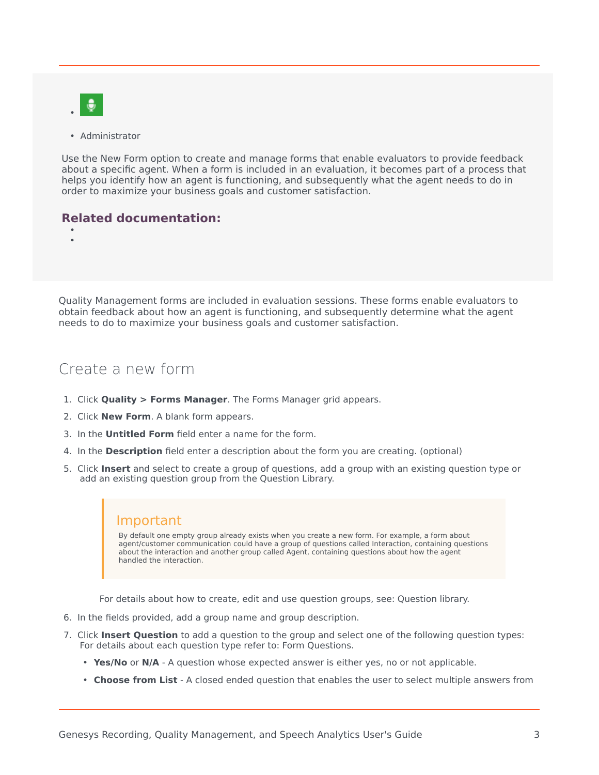

• Administrator

Use the New Form option to create and manage forms that enable evaluators to provide feedback about a specific agent. When a form is included in an evaluation, it becomes part of a process that helps you identify how an agent is functioning, and subsequently what the agent needs to do in order to maximize your business goals and customer satisfaction.

## **Related documentation:**

• •

Quality Management forms are included in evaluation sessions. These forms enable evaluators to obtain feedback about how an agent is functioning, and subsequently determine what the agent needs to do to maximize your business goals and customer satisfaction.

## <span id="page-2-0"></span>Create a new form

- 1. Click **Quality > Forms Manager**. The Forms Manager grid appears.
- 2. Click **New Form**. A blank form appears.
- 3. In the **Untitled Form** field enter a name for the form.
- 4. In the **Description** field enter a description about the form you are creating. (optional)
- 5. Click **Insert** and select to create a group of questions, add a group with an existing question type or add an existing question group from the Question Library.

## Important

By default one empty group already exists when you create a new form. For example, a form about agent/customer communication could have a group of questions called Interaction, containing questions about the interaction and another group called Agent, containing questions about how the agent handled the interaction.

For details about how to create, edit and use question groups, see: Question library.

- 6. In the fields provided, add a group name and group description.
- 7. Click **Insert Question** to add a question to the group and select one of the following question types: For details about each question type refer to: Form Questions.
	- **Yes/No** or **N/A** A question whose expected answer is either yes, no or not applicable.
	- **Choose from List** A closed ended question that enables the user to select multiple answers from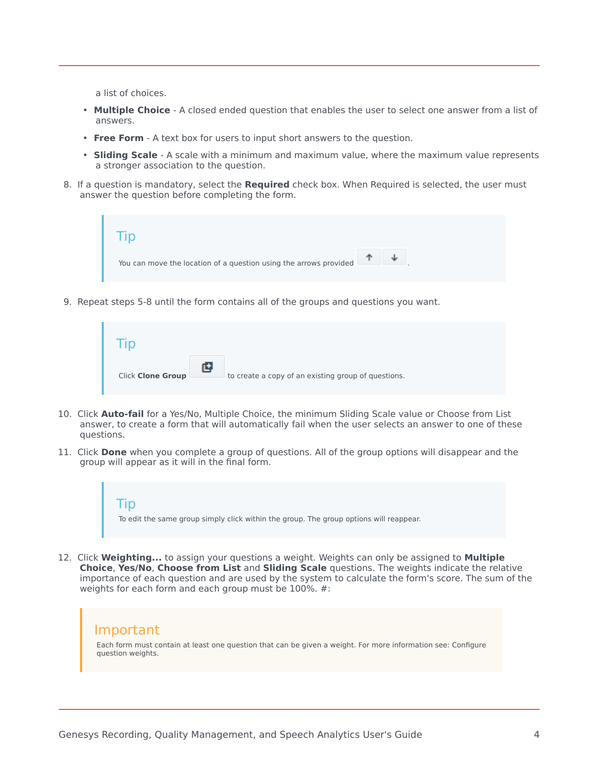a list of choices.

- **Multiple Choice** A closed ended question that enables the user to select one answer from a list of answers.
- **Free Form** A text box for users to input short answers to the question.
- **Sliding Scale** A scale with a minimum and maximum value, where the maximum value represents a stronger association to the question.
- 8. If a question is mandatory, select the **Required** check box. When Required is selected, the user must answer the question before completing the form.



9. Repeat steps 5-8 until the form contains all of the groups and questions you want.

| <b>Click Clone Group</b> | to create a copy of an existing group of questions. |
|--------------------------|-----------------------------------------------------|

- 10. Click **Auto-fail** for a Yes/No, Multiple Choice, the minimum Sliding Scale value or Choose from List answer, to create a form that will automatically fail when the user selects an answer to one of these questions.
- 11. Click **Done** when you complete a group of questions. All of the group options will disappear and the group will appear as it will in the final form.



12. Click **Weighting...** to assign your questions a weight. Weights can only be assigned to **Multiple Choice**, **Yes/No**, **Choose from List** and **Sliding Scale** questions. The weights indicate the relative importance of each question and are used by the system to calculate the form's score. The sum of the weights for each form and each group must be 100%. #:

## Important

Each form must contain at least one question that can be given a weight. For more information see: Configure question weights.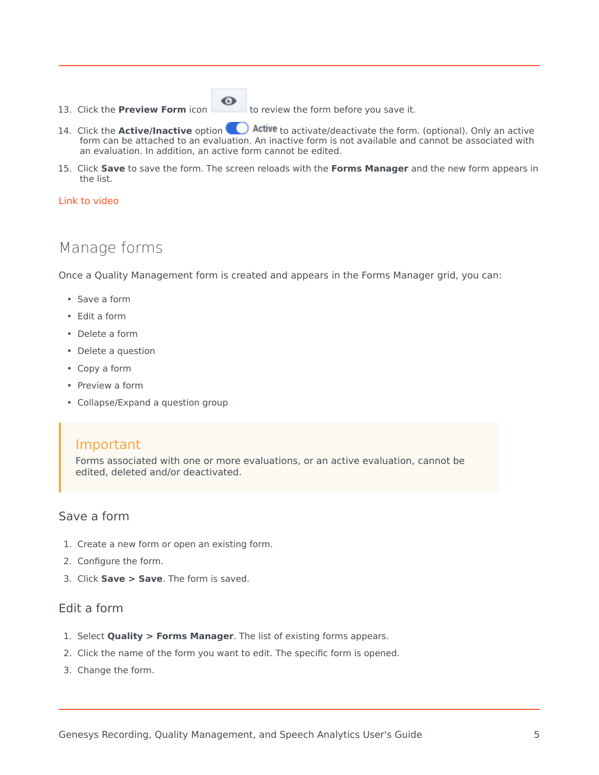#### 13. Click the **Preview Form** icon to review the form before you save it.

 $\odot$ 

- 14. Click the **Active/Inactive** option **CO** Active to activate/deactivate the form. (optional). Only an active form can be attached to an evaluation. An inactive form is not available and cannot be associated with an evaluation. In addition, an active form cannot be edited.
- 15. Click **Save** to save the form. The screen reloads with the **Forms Manager** and the new form appears in the list.

### [Link to video](https://player.vimeo.com/video/707829344?title=0&byline=0&portrait=0)

## <span id="page-4-0"></span>Manage forms

Once a Quality Management form is created and appears in the Forms Manager grid, you can:

- Save a form
- Edit a form
- Delete a form
- Delete a question
- Copy a form
- Preview a form
- Collapse/Expand a question group

## Important

Forms associated with one or more evaluations, or an active evaluation, cannot be edited, deleted and/or deactivated.

### <span id="page-4-1"></span>Save a form

- 1. Create a new form or open an existing form.
- 2. Configure the form.
- 3. Click **Save > Save**. The form is saved.

## <span id="page-4-2"></span>Edit a form

- 1. Select **Quality > Forms Manager**. The list of existing forms appears.
- 2. Click the name of the form you want to edit. The specific form is opened.
- 3. Change the form.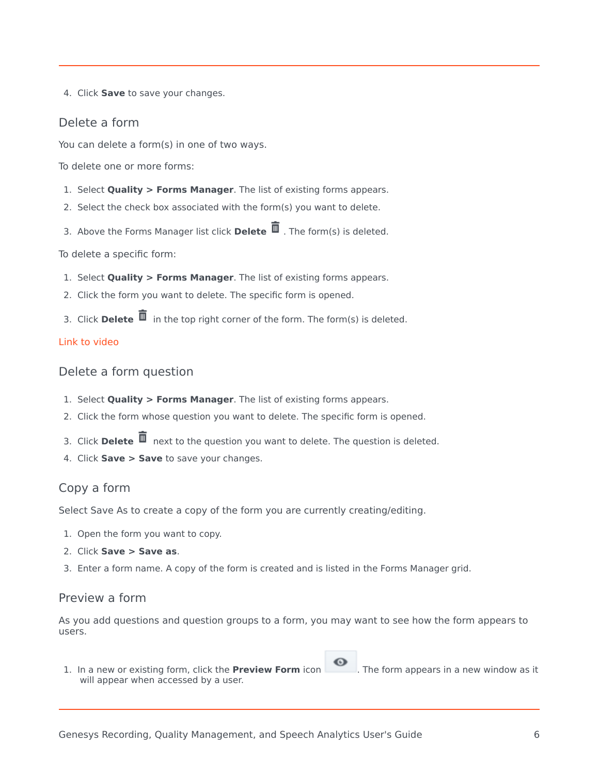4. Click **Save** to save your changes.

## <span id="page-5-0"></span>Delete a form

You can delete a form(s) in one of two ways.

To delete one or more forms:

- 1. Select **Quality > Forms Manager**. The list of existing forms appears.
- 2. Select the check box associated with the form(s) you want to delete.
- 3. Above the Forms Manager list click **Delete** . The form(s) is deleted.

To delete a specific form:

- 1. Select **Quality > Forms Manager**. The list of existing forms appears.
- 2. Click the form you want to delete. The specific form is opened.
- 3. Click **Delete**  $\overline{\mathbf{u}}$  in the top right corner of the form. The form(s) is deleted.

## [Link to video](https://player.vimeo.com/video/708588966?title=0&byline=0&portrait=0)

<span id="page-5-1"></span>Delete a form question

- 1. Select **Quality > Forms Manager**. The list of existing forms appears.
- 2. Click the form whose question you want to delete. The specific form is opened.
- 3. Click **Delete**  $\overline{1}$  next to the question you want to delete. The question is deleted.
- 4. Click **Save > Save** to save your changes.

## <span id="page-5-2"></span>Copy a form

Select Save As to create a copy of the form you are currently creating/editing.

- 1. Open the form you want to copy.
- 2. Click **Save > Save as**.
- 3. Enter a form name. A copy of the form is created and is listed in the Forms Manager grid.

### <span id="page-5-3"></span>Preview a form

As you add questions and question groups to a form, you may want to see how the form appears to users.

1. In a new or existing form, click the **Preview Form** icon . The form appears in a new window as it will appear when accessed by a user.